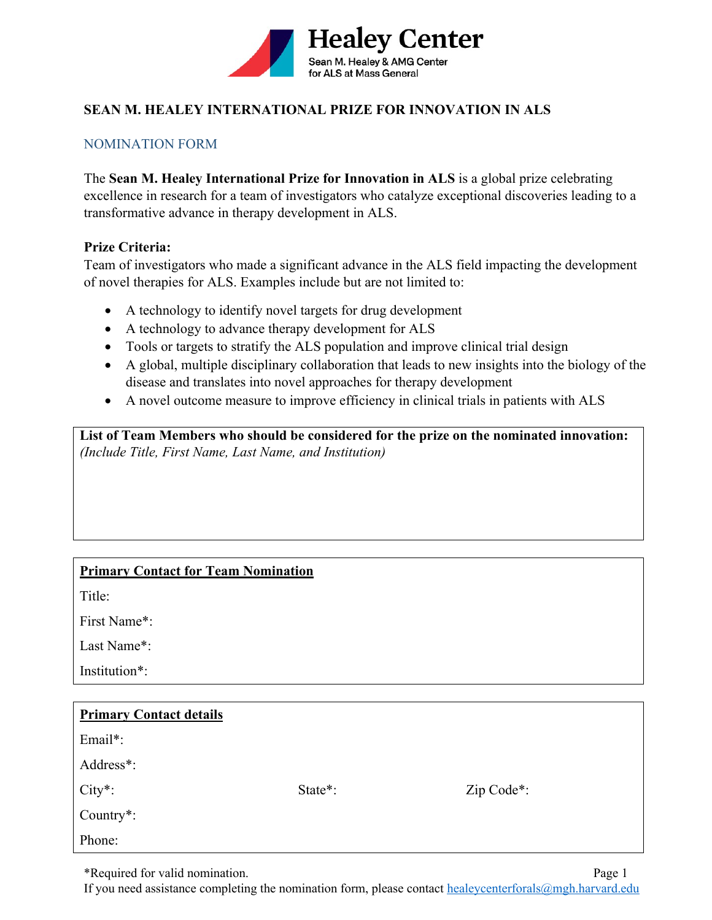

# **SEAN M. HEALEY INTERNATIONAL PRIZE FOR INNOVATION IN ALS**

### NOMINATION FORM

The **Sean M. Healey International Prize for Innovation in ALS** is a global prize celebrating excellence in research for a team of investigators who catalyze exceptional discoveries leading to a transformative advance in therapy development in ALS.

#### **Prize Criteria:**

Team of investigators who made a significant advance in the ALS field impacting the development of novel therapies for ALS. Examples include but are not limited to:

- A technology to identify novel targets for drug development
- A technology to advance therapy development for ALS
- Tools or targets to stratify the ALS population and improve clinical trial design
- A global, multiple disciplinary collaboration that leads to new insights into the biology of the disease and translates into novel approaches for therapy development
- A novel outcome measure to improve efficiency in clinical trials in patients with ALS

**List of Team Members who should be considered for the prize on the nominated innovation:**  *(Include Title, First Name, Last Name, and Institution)* 

# **Primary Contact for Team Nomination**

Title:

First Name\*:

Last Name\*:

Institution\*:

| <b>Primary Contact details</b> |         |                         |
|--------------------------------|---------|-------------------------|
| Email*:                        |         |                         |
| Address*:                      |         |                         |
| $City*$ :                      | State*: | Zip Code <sup>*</sup> : |
| Country $*$ :                  |         |                         |
| Phone:                         |         |                         |

\*Required for valid nomination. Page 1

If you need assistance completing the nomination form, please contact healeycenterforals@mgh.harvard.edu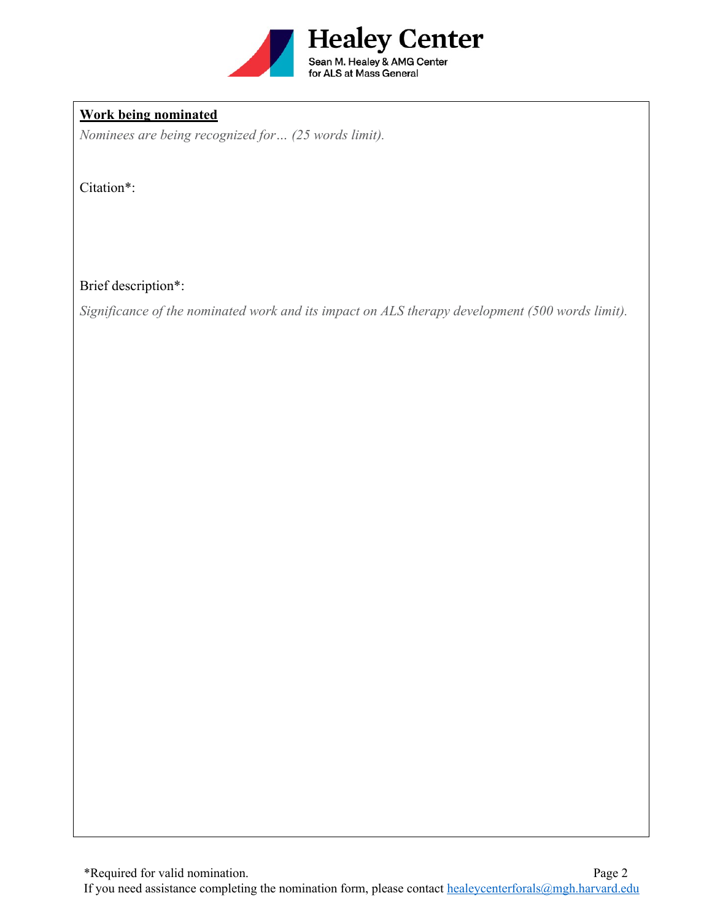

### **Work being nominated**

*Nominees are being recognized for… (25 words limit).* 

Citation\*:

Brief description\*:

*Significance of the nominated work and its impact on ALS therapy development (500 words limit).*